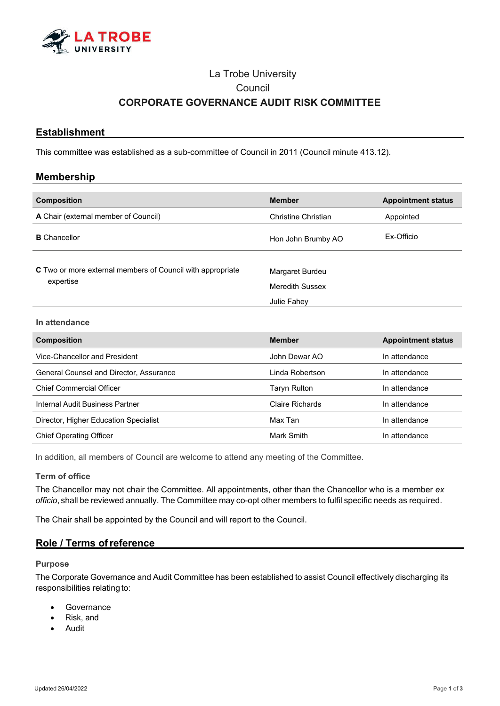

# La Trobe University **Council CORPORATE GOVERNANCE AUDIT RISK COMMITTEE**

# **Establishment**

This committee was established as a sub-committee of Council in 2011 (Council minute 413.12).

## **Membership**

| <b>Composition</b>                                                             | <b>Member</b>                             | <b>Appointment status</b> |
|--------------------------------------------------------------------------------|-------------------------------------------|---------------------------|
| A Chair (external member of Council)                                           | Christine Christian                       | Appointed                 |
| <b>B</b> Chancellor                                                            | Hon John Brumby AO                        | Ex-Officio                |
| <b>C</b> Two or more external members of Council with appropriate<br>expertise | Margaret Burdeu<br><b>Meredith Sussex</b> |                           |
|                                                                                | Julie Fahey                               |                           |

#### **In attendance**

| <b>Composition</b>                      | <b>Member</b>          | <b>Appointment status</b> |
|-----------------------------------------|------------------------|---------------------------|
| Vice-Chancellor and President           | John Dewar AO          | In attendance             |
| General Counsel and Director, Assurance | l inda Robertson.      | In attendance             |
| <b>Chief Commercial Officer</b>         | Taryn Rulton           | In attendance             |
| Internal Audit Business Partner         | <b>Claire Richards</b> | In attendance             |
| Director, Higher Education Specialist   | Max Tan                | In attendance             |
| <b>Chief Operating Officer</b>          | Mark Smith             | In attendance             |

In addition, all members of Council are welcome to attend any meeting of the Committee.

#### **Term of office**

The Chancellor may not chair the Committee. All appointments, other than the Chancellor who is a member *ex officio*, shall be reviewed annually. The Committee may co-opt other members to fulfil specific needs as required.

The Chair shall be appointed by the Council and will report to the Council.

# **Role / Terms ofreference**

## **Purpose**

The Corporate Governance and Audit Committee has been established to assist Council effectively discharging its responsibilities relating to:

- **Governance**
- Risk, and
- Audit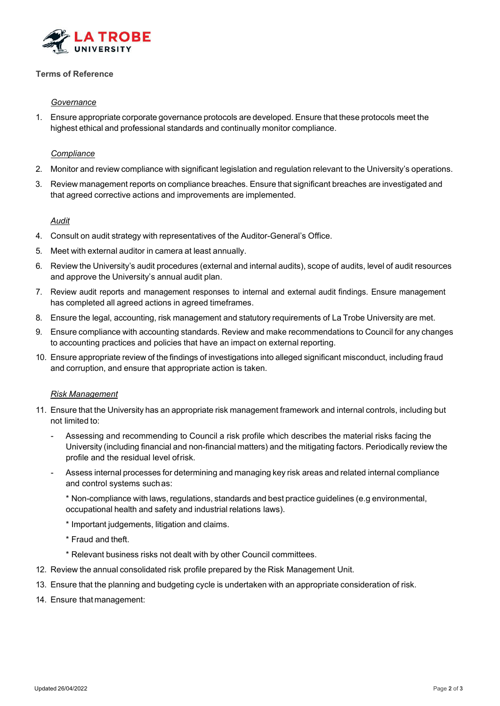

# **Terms of Reference**

## *Governance*

1. Ensure appropriate corporate governance protocols are developed. Ensure that these protocols meet the highest ethical and professional standards and continually monitor compliance.

## *Compliance*

- 2. Monitor and review compliance with significant legislation and regulation relevant to the University's operations.
- 3. Review management reports on compliance breaches. Ensure that significant breaches are investigated and that agreed corrective actions and improvements are implemented.

## *Audit*

- 4. Consult on audit strategy with representatives of the Auditor-General's Office.
- 5. Meet with external auditor in camera at least annually.
- 6. Review the University's audit procedures (external and internal audits), scope of audits, level of audit resources and approve the University's annual audit plan.
- 7. Review audit reports and management responses to internal and external audit findings. Ensure management has completed all agreed actions in agreed timeframes.
- 8. Ensure the legal, accounting, risk management and statutory requirements of La Trobe University are met.
- 9. Ensure compliance with accounting standards. Review and make recommendations to Council for any changes to accounting practices and policies that have an impact on external reporting.
- 10. Ensure appropriate review of the findings of investigations into alleged significant misconduct, including fraud and corruption, and ensure that appropriate action is taken.

## *Risk Management*

- 11. Ensure that the University has an appropriate risk management framework and internal controls, including but not limited to:
	- Assessing and recommending to Council a risk profile which describes the material risks facing the University (including financial and non-financial matters) and the mitigating factors. Periodically review the profile and the residual level ofrisk.
	- Assess internal processes for determining and managing key risk areas and related internal compliance and control systems suchas:
		- \* Non-compliance with laws, regulations, standards and best practice guidelines (e.g environmental, occupational health and safety and industrial relations laws).
		- \* Important judgements, litigation and claims.
		- \* Fraud and theft.
		- \* Relevant business risks not dealt with by other Council committees.
- 12. Review the annual consolidated risk profile prepared by the Risk Management Unit.
- 13. Ensure that the planning and budgeting cycle is undertaken with an appropriate consideration of risk.
- 14. Ensure that management: